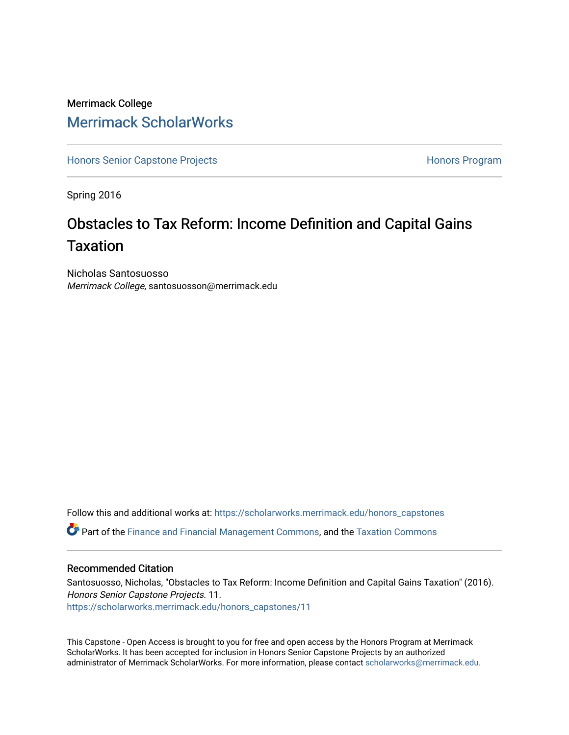# Merrimack College [Merrimack ScholarWorks](https://scholarworks.merrimack.edu/)

[Honors Senior Capstone Projects](https://scholarworks.merrimack.edu/honors_capstones) **Honors Program** Honors Program

Spring 2016

# Obstacles to Tax Reform: Income Definition and Capital Gains Taxation

Nicholas Santosuosso Merrimack College, santosuosson@merrimack.edu

Follow this and additional works at: [https://scholarworks.merrimack.edu/honors\\_capstones](https://scholarworks.merrimack.edu/honors_capstones?utm_source=scholarworks.merrimack.edu%2Fhonors_capstones%2F11&utm_medium=PDF&utm_campaign=PDFCoverPages)

Part of the [Finance and Financial Management Commons,](http://network.bepress.com/hgg/discipline/631?utm_source=scholarworks.merrimack.edu%2Fhonors_capstones%2F11&utm_medium=PDF&utm_campaign=PDFCoverPages) and the [Taxation Commons](http://network.bepress.com/hgg/discipline/643?utm_source=scholarworks.merrimack.edu%2Fhonors_capstones%2F11&utm_medium=PDF&utm_campaign=PDFCoverPages)

## Recommended Citation

Santosuosso, Nicholas, "Obstacles to Tax Reform: Income Definition and Capital Gains Taxation" (2016). Honors Senior Capstone Projects. 11. [https://scholarworks.merrimack.edu/honors\\_capstones/11](https://scholarworks.merrimack.edu/honors_capstones/11?utm_source=scholarworks.merrimack.edu%2Fhonors_capstones%2F11&utm_medium=PDF&utm_campaign=PDFCoverPages) 

This Capstone - Open Access is brought to you for free and open access by the Honors Program at Merrimack ScholarWorks. It has been accepted for inclusion in Honors Senior Capstone Projects by an authorized administrator of Merrimack ScholarWorks. For more information, please contact [scholarworks@merrimack.edu](mailto:scholarworks@merrimack.edu).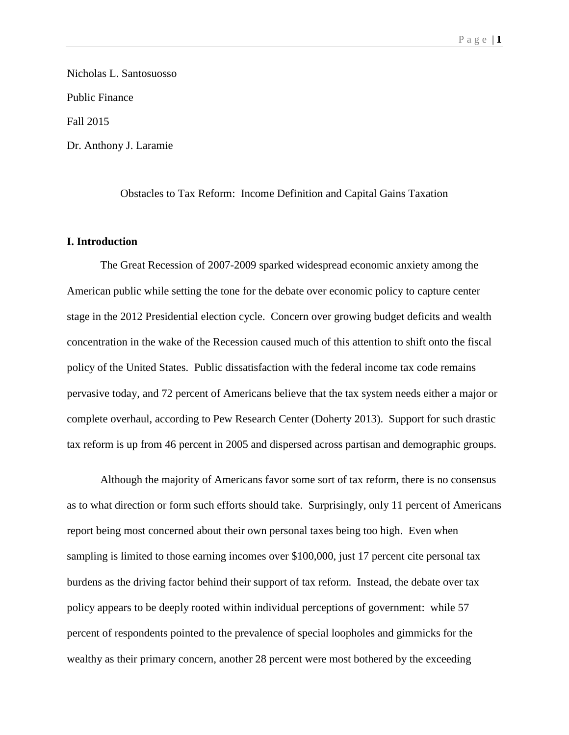Nicholas L. Santosuosso Public Finance Fall 2015 Dr. Anthony J. Laramie

Obstacles to Tax Reform: Income Definition and Capital Gains Taxation

## **I. Introduction**

The Great Recession of 2007-2009 sparked widespread economic anxiety among the American public while setting the tone for the debate over economic policy to capture center stage in the 2012 Presidential election cycle. Concern over growing budget deficits and wealth concentration in the wake of the Recession caused much of this attention to shift onto the fiscal policy of the United States. Public dissatisfaction with the federal income tax code remains pervasive today, and 72 percent of Americans believe that the tax system needs either a major or complete overhaul, according to Pew Research Center (Doherty 2013). Support for such drastic tax reform is up from 46 percent in 2005 and dispersed across partisan and demographic groups.

Although the majority of Americans favor some sort of tax reform, there is no consensus as to what direction or form such efforts should take. Surprisingly, only 11 percent of Americans report being most concerned about their own personal taxes being too high. Even when sampling is limited to those earning incomes over \$100,000, just 17 percent cite personal tax burdens as the driving factor behind their support of tax reform. Instead, the debate over tax policy appears to be deeply rooted within individual perceptions of government: while 57 percent of respondents pointed to the prevalence of special loopholes and gimmicks for the wealthy as their primary concern, another 28 percent were most bothered by the exceeding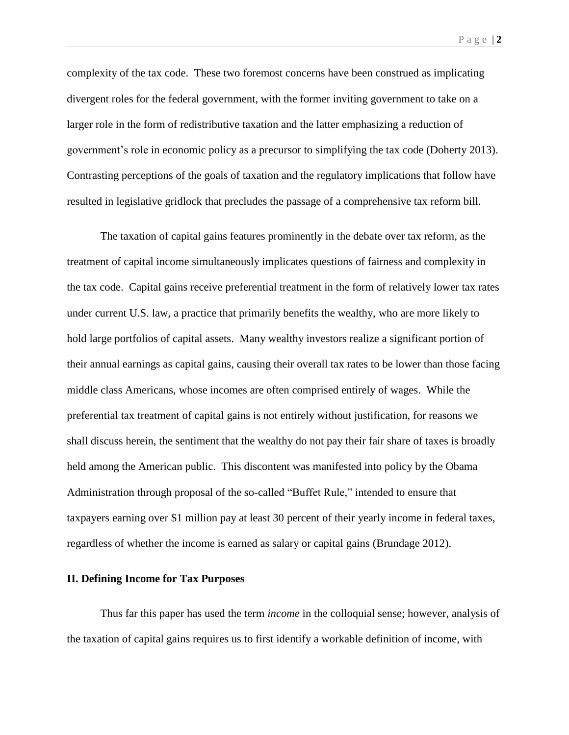complexity of the tax code. These two foremost concerns have been construed as implicating divergent roles for the federal government, with the former inviting government to take on a larger role in the form of redistributive taxation and the latter emphasizing a reduction of government's role in economic policy as a precursor to simplifying the tax code (Doherty 2013). Contrasting perceptions of the goals of taxation and the regulatory implications that follow have resulted in legislative gridlock that precludes the passage of a comprehensive tax reform bill.

The taxation of capital gains features prominently in the debate over tax reform, as the treatment of capital income simultaneously implicates questions of fairness and complexity in the tax code. Capital gains receive preferential treatment in the form of relatively lower tax rates under current U.S. law, a practice that primarily benefits the wealthy, who are more likely to hold large portfolios of capital assets. Many wealthy investors realize a significant portion of their annual earnings as capital gains, causing their overall tax rates to be lower than those facing middle class Americans, whose incomes are often comprised entirely of wages. While the preferential tax treatment of capital gains is not entirely without justification, for reasons we shall discuss herein, the sentiment that the wealthy do not pay their fair share of taxes is broadly held among the American public. This discontent was manifested into policy by the Obama Administration through proposal of the so-called "Buffet Rule," intended to ensure that taxpayers earning over \$1 million pay at least 30 percent of their yearly income in federal taxes, regardless of whether the income is earned as salary or capital gains (Brundage 2012).

#### **II. Defining Income for Tax Purposes**

Thus far this paper has used the term *income* in the colloquial sense; however, analysis of the taxation of capital gains requires us to first identify a workable definition of income, with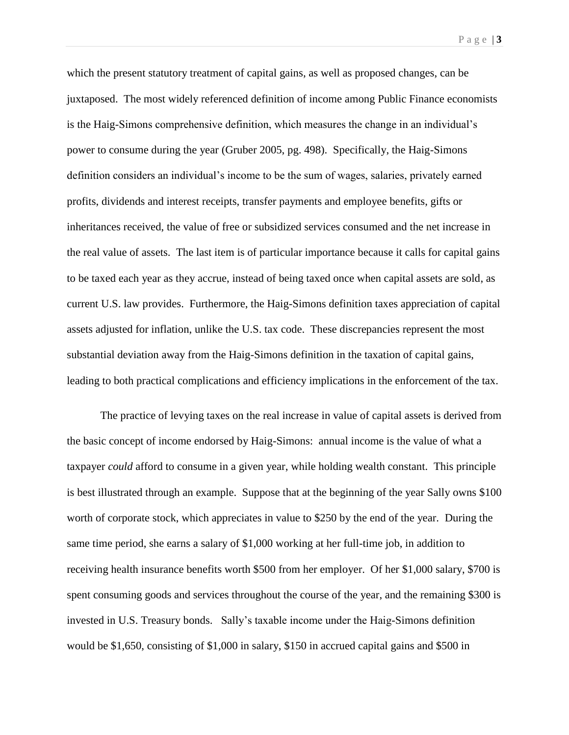which the present statutory treatment of capital gains, as well as proposed changes, can be juxtaposed. The most widely referenced definition of income among Public Finance economists is the Haig-Simons comprehensive definition, which measures the change in an individual's power to consume during the year (Gruber 2005, pg. 498). Specifically, the Haig-Simons definition considers an individual's income to be the sum of wages, salaries, privately earned profits, dividends and interest receipts, transfer payments and employee benefits, gifts or inheritances received, the value of free or subsidized services consumed and the net increase in the real value of assets. The last item is of particular importance because it calls for capital gains to be taxed each year as they accrue, instead of being taxed once when capital assets are sold, as current U.S. law provides. Furthermore, the Haig-Simons definition taxes appreciation of capital assets adjusted for inflation, unlike the U.S. tax code. These discrepancies represent the most substantial deviation away from the Haig-Simons definition in the taxation of capital gains, leading to both practical complications and efficiency implications in the enforcement of the tax.

The practice of levying taxes on the real increase in value of capital assets is derived from the basic concept of income endorsed by Haig-Simons: annual income is the value of what a taxpayer *could* afford to consume in a given year, while holding wealth constant. This principle is best illustrated through an example. Suppose that at the beginning of the year Sally owns \$100 worth of corporate stock, which appreciates in value to \$250 by the end of the year. During the same time period, she earns a salary of \$1,000 working at her full-time job, in addition to receiving health insurance benefits worth \$500 from her employer. Of her \$1,000 salary, \$700 is spent consuming goods and services throughout the course of the year, and the remaining \$300 is invested in U.S. Treasury bonds. Sally's taxable income under the Haig-Simons definition would be \$1,650, consisting of \$1,000 in salary, \$150 in accrued capital gains and \$500 in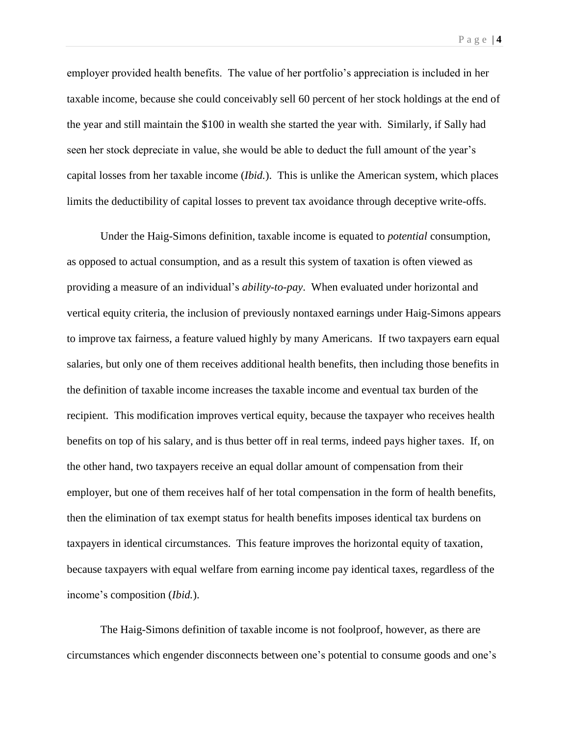employer provided health benefits. The value of her portfolio's appreciation is included in her taxable income, because she could conceivably sell 60 percent of her stock holdings at the end of the year and still maintain the \$100 in wealth she started the year with. Similarly, if Sally had seen her stock depreciate in value, she would be able to deduct the full amount of the year's capital losses from her taxable income (*Ibid.*). This is unlike the American system, which places limits the deductibility of capital losses to prevent tax avoidance through deceptive write-offs.

Under the Haig-Simons definition, taxable income is equated to *potential* consumption, as opposed to actual consumption, and as a result this system of taxation is often viewed as providing a measure of an individual's *ability-to-pay*. When evaluated under horizontal and vertical equity criteria, the inclusion of previously nontaxed earnings under Haig-Simons appears to improve tax fairness, a feature valued highly by many Americans. If two taxpayers earn equal salaries, but only one of them receives additional health benefits, then including those benefits in the definition of taxable income increases the taxable income and eventual tax burden of the recipient. This modification improves vertical equity, because the taxpayer who receives health benefits on top of his salary, and is thus better off in real terms, indeed pays higher taxes. If, on the other hand, two taxpayers receive an equal dollar amount of compensation from their employer, but one of them receives half of her total compensation in the form of health benefits, then the elimination of tax exempt status for health benefits imposes identical tax burdens on taxpayers in identical circumstances. This feature improves the horizontal equity of taxation, because taxpayers with equal welfare from earning income pay identical taxes, regardless of the income's composition (*Ibid.*).

The Haig-Simons definition of taxable income is not foolproof, however, as there are circumstances which engender disconnects between one's potential to consume goods and one's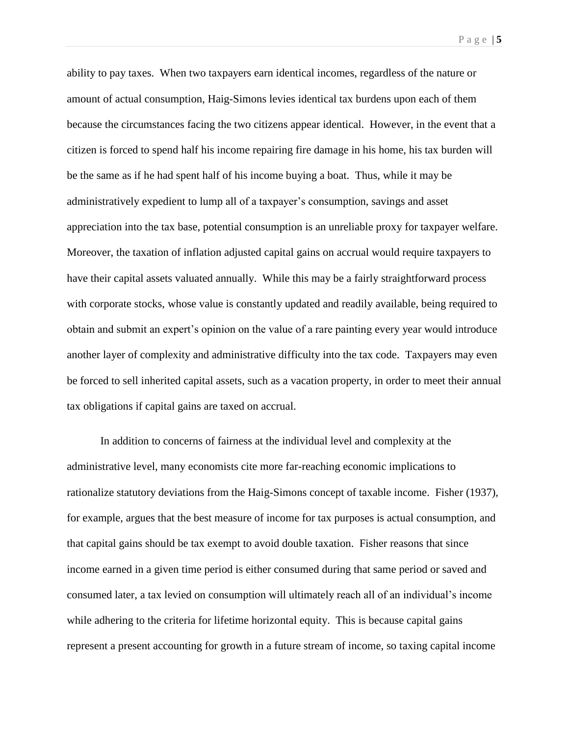ability to pay taxes. When two taxpayers earn identical incomes, regardless of the nature or amount of actual consumption, Haig-Simons levies identical tax burdens upon each of them because the circumstances facing the two citizens appear identical. However, in the event that a citizen is forced to spend half his income repairing fire damage in his home, his tax burden will be the same as if he had spent half of his income buying a boat. Thus, while it may be administratively expedient to lump all of a taxpayer's consumption, savings and asset appreciation into the tax base, potential consumption is an unreliable proxy for taxpayer welfare. Moreover, the taxation of inflation adjusted capital gains on accrual would require taxpayers to have their capital assets valuated annually. While this may be a fairly straightforward process with corporate stocks, whose value is constantly updated and readily available, being required to obtain and submit an expert's opinion on the value of a rare painting every year would introduce another layer of complexity and administrative difficulty into the tax code. Taxpayers may even be forced to sell inherited capital assets, such as a vacation property, in order to meet their annual tax obligations if capital gains are taxed on accrual.

In addition to concerns of fairness at the individual level and complexity at the administrative level, many economists cite more far-reaching economic implications to rationalize statutory deviations from the Haig-Simons concept of taxable income. Fisher (1937), for example, argues that the best measure of income for tax purposes is actual consumption, and that capital gains should be tax exempt to avoid double taxation. Fisher reasons that since income earned in a given time period is either consumed during that same period or saved and consumed later, a tax levied on consumption will ultimately reach all of an individual's income while adhering to the criteria for lifetime horizontal equity. This is because capital gains represent a present accounting for growth in a future stream of income, so taxing capital income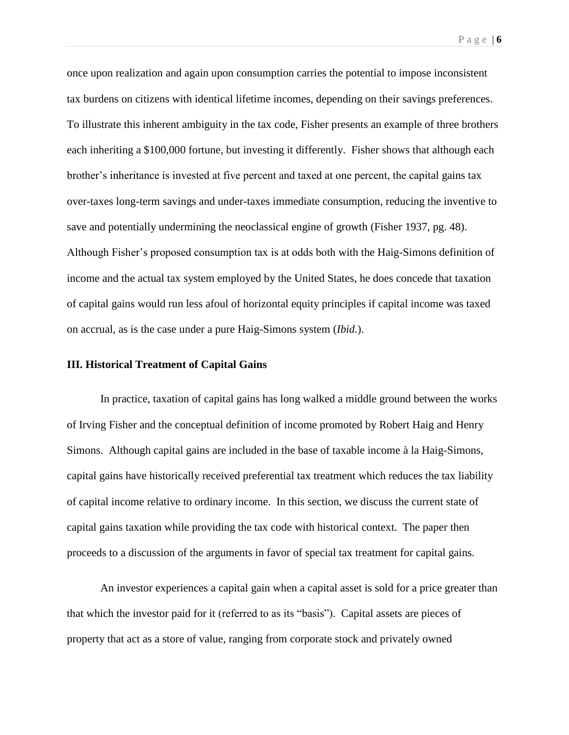once upon realization and again upon consumption carries the potential to impose inconsistent tax burdens on citizens with identical lifetime incomes, depending on their savings preferences. To illustrate this inherent ambiguity in the tax code, Fisher presents an example of three brothers each inheriting a \$100,000 fortune, but investing it differently. Fisher shows that although each brother's inheritance is invested at five percent and taxed at one percent, the capital gains tax over-taxes long-term savings and under-taxes immediate consumption, reducing the inventive to save and potentially undermining the neoclassical engine of growth (Fisher 1937, pg. 48). Although Fisher's proposed consumption tax is at odds both with the Haig-Simons definition of income and the actual tax system employed by the United States, he does concede that taxation of capital gains would run less afoul of horizontal equity principles if capital income was taxed on accrual, as is the case under a pure Haig-Simons system (*Ibid.*).

#### **III. Historical Treatment of Capital Gains**

In practice, taxation of capital gains has long walked a middle ground between the works of Irving Fisher and the conceptual definition of income promoted by Robert Haig and Henry Simons. Although capital gains are included in the base of taxable income à la Haig-Simons, capital gains have historically received preferential tax treatment which reduces the tax liability of capital income relative to ordinary income. In this section, we discuss the current state of capital gains taxation while providing the tax code with historical context. The paper then proceeds to a discussion of the arguments in favor of special tax treatment for capital gains.

An investor experiences a capital gain when a capital asset is sold for a price greater than that which the investor paid for it (referred to as its "basis"). Capital assets are pieces of property that act as a store of value, ranging from corporate stock and privately owned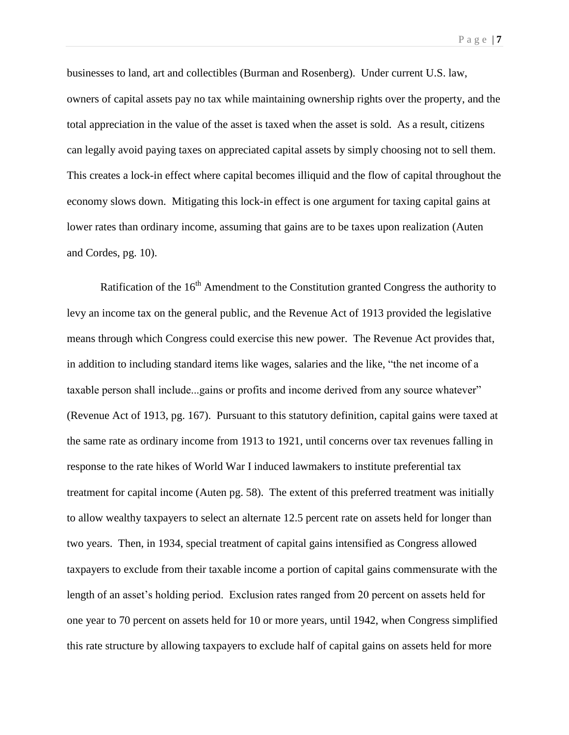businesses to land, art and collectibles (Burman and Rosenberg). Under current U.S. law, owners of capital assets pay no tax while maintaining ownership rights over the property, and the total appreciation in the value of the asset is taxed when the asset is sold. As a result, citizens can legally avoid paying taxes on appreciated capital assets by simply choosing not to sell them. This creates a lock-in effect where capital becomes illiquid and the flow of capital throughout the economy slows down. Mitigating this lock-in effect is one argument for taxing capital gains at lower rates than ordinary income, assuming that gains are to be taxes upon realization (Auten and Cordes, pg. 10).

Ratification of the  $16<sup>th</sup>$  Amendment to the Constitution granted Congress the authority to levy an income tax on the general public, and the Revenue Act of 1913 provided the legislative means through which Congress could exercise this new power. The Revenue Act provides that, in addition to including standard items like wages, salaries and the like, "the net income of a taxable person shall include...gains or profits and income derived from any source whatever" (Revenue Act of 1913, pg. 167). Pursuant to this statutory definition, capital gains were taxed at the same rate as ordinary income from 1913 to 1921, until concerns over tax revenues falling in response to the rate hikes of World War I induced lawmakers to institute preferential tax treatment for capital income (Auten pg. 58). The extent of this preferred treatment was initially to allow wealthy taxpayers to select an alternate 12.5 percent rate on assets held for longer than two years. Then, in 1934, special treatment of capital gains intensified as Congress allowed taxpayers to exclude from their taxable income a portion of capital gains commensurate with the length of an asset's holding period. Exclusion rates ranged from 20 percent on assets held for one year to 70 percent on assets held for 10 or more years, until 1942, when Congress simplified this rate structure by allowing taxpayers to exclude half of capital gains on assets held for more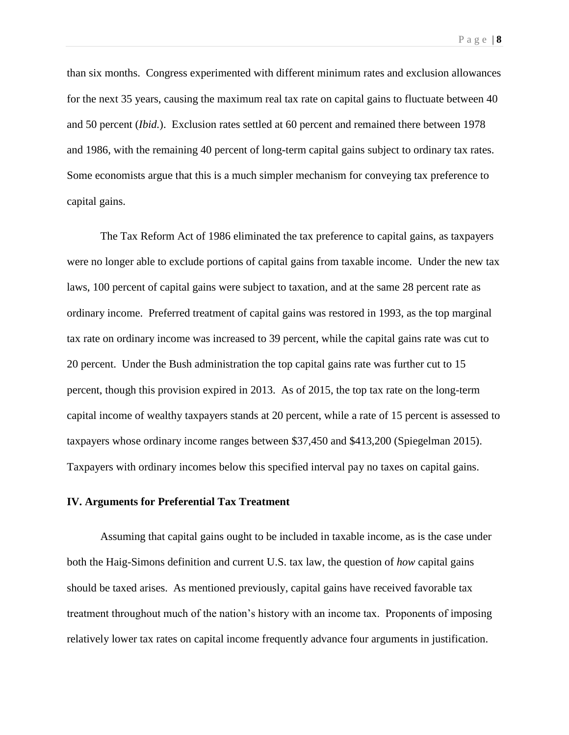than six months. Congress experimented with different minimum rates and exclusion allowances for the next 35 years, causing the maximum real tax rate on capital gains to fluctuate between 40 and 50 percent (*Ibid.*). Exclusion rates settled at 60 percent and remained there between 1978 and 1986, with the remaining 40 percent of long-term capital gains subject to ordinary tax rates. Some economists argue that this is a much simpler mechanism for conveying tax preference to capital gains.

The Tax Reform Act of 1986 eliminated the tax preference to capital gains, as taxpayers were no longer able to exclude portions of capital gains from taxable income. Under the new tax laws, 100 percent of capital gains were subject to taxation, and at the same 28 percent rate as ordinary income. Preferred treatment of capital gains was restored in 1993, as the top marginal tax rate on ordinary income was increased to 39 percent, while the capital gains rate was cut to 20 percent. Under the Bush administration the top capital gains rate was further cut to 15 percent, though this provision expired in 2013. As of 2015, the top tax rate on the long-term capital income of wealthy taxpayers stands at 20 percent, while a rate of 15 percent is assessed to taxpayers whose ordinary income ranges between \$37,450 and \$413,200 (Spiegelman 2015). Taxpayers with ordinary incomes below this specified interval pay no taxes on capital gains.

#### **IV. Arguments for Preferential Tax Treatment**

Assuming that capital gains ought to be included in taxable income, as is the case under both the Haig-Simons definition and current U.S. tax law, the question of *how* capital gains should be taxed arises. As mentioned previously, capital gains have received favorable tax treatment throughout much of the nation's history with an income tax. Proponents of imposing relatively lower tax rates on capital income frequently advance four arguments in justification.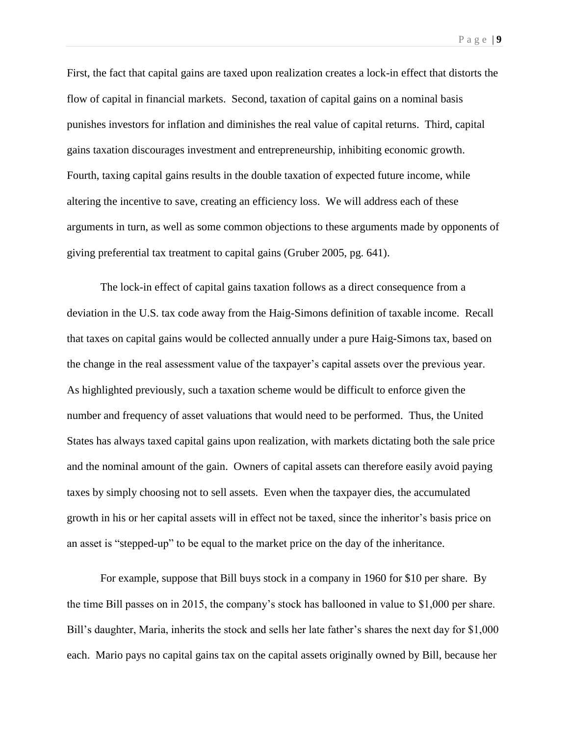First, the fact that capital gains are taxed upon realization creates a lock-in effect that distorts the flow of capital in financial markets. Second, taxation of capital gains on a nominal basis punishes investors for inflation and diminishes the real value of capital returns. Third, capital gains taxation discourages investment and entrepreneurship, inhibiting economic growth. Fourth, taxing capital gains results in the double taxation of expected future income, while altering the incentive to save, creating an efficiency loss. We will address each of these arguments in turn, as well as some common objections to these arguments made by opponents of giving preferential tax treatment to capital gains (Gruber 2005, pg. 641).

The lock-in effect of capital gains taxation follows as a direct consequence from a deviation in the U.S. tax code away from the Haig-Simons definition of taxable income. Recall that taxes on capital gains would be collected annually under a pure Haig-Simons tax, based on the change in the real assessment value of the taxpayer's capital assets over the previous year. As highlighted previously, such a taxation scheme would be difficult to enforce given the number and frequency of asset valuations that would need to be performed. Thus, the United States has always taxed capital gains upon realization, with markets dictating both the sale price and the nominal amount of the gain. Owners of capital assets can therefore easily avoid paying taxes by simply choosing not to sell assets. Even when the taxpayer dies, the accumulated growth in his or her capital assets will in effect not be taxed, since the inheritor's basis price on an asset is "stepped-up" to be equal to the market price on the day of the inheritance.

For example, suppose that Bill buys stock in a company in 1960 for \$10 per share. By the time Bill passes on in 2015, the company's stock has ballooned in value to \$1,000 per share. Bill's daughter, Maria, inherits the stock and sells her late father's shares the next day for \$1,000 each. Mario pays no capital gains tax on the capital assets originally owned by Bill, because her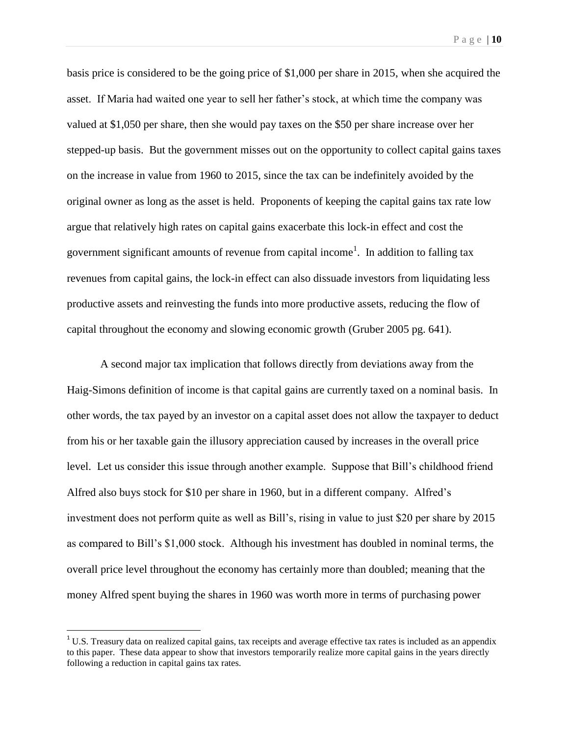basis price is considered to be the going price of \$1,000 per share in 2015, when she acquired the asset. If Maria had waited one year to sell her father's stock, at which time the company was valued at \$1,050 per share, then she would pay taxes on the \$50 per share increase over her stepped-up basis. But the government misses out on the opportunity to collect capital gains taxes on the increase in value from 1960 to 2015, since the tax can be indefinitely avoided by the original owner as long as the asset is held. Proponents of keeping the capital gains tax rate low argue that relatively high rates on capital gains exacerbate this lock-in effect and cost the government significant amounts of revenue from capital income<sup>1</sup>. In addition to falling tax revenues from capital gains, the lock-in effect can also dissuade investors from liquidating less productive assets and reinvesting the funds into more productive assets, reducing the flow of capital throughout the economy and slowing economic growth (Gruber 2005 pg. 641).

A second major tax implication that follows directly from deviations away from the Haig-Simons definition of income is that capital gains are currently taxed on a nominal basis. In other words, the tax payed by an investor on a capital asset does not allow the taxpayer to deduct from his or her taxable gain the illusory appreciation caused by increases in the overall price level. Let us consider this issue through another example. Suppose that Bill's childhood friend Alfred also buys stock for \$10 per share in 1960, but in a different company. Alfred's investment does not perform quite as well as Bill's, rising in value to just \$20 per share by 2015 as compared to Bill's \$1,000 stock. Although his investment has doubled in nominal terms, the overall price level throughout the economy has certainly more than doubled; meaning that the money Alfred spent buying the shares in 1960 was worth more in terms of purchasing power

 $\overline{\phantom{a}}$ 

 $1 \text{U.S.}$  Treasury data on realized capital gains, tax receipts and average effective tax rates is included as an appendix to this paper. These data appear to show that investors temporarily realize more capital gains in the years directly following a reduction in capital gains tax rates.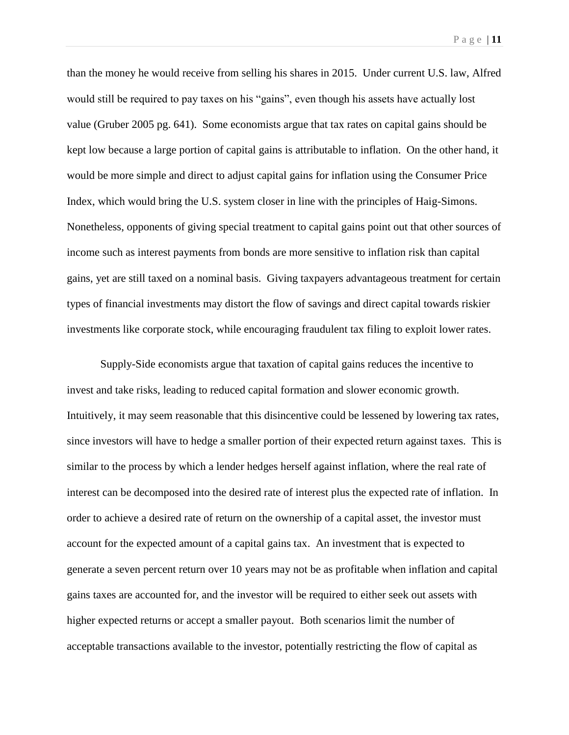than the money he would receive from selling his shares in 2015. Under current U.S. law, Alfred would still be required to pay taxes on his "gains", even though his assets have actually lost value (Gruber 2005 pg. 641). Some economists argue that tax rates on capital gains should be kept low because a large portion of capital gains is attributable to inflation. On the other hand, it would be more simple and direct to adjust capital gains for inflation using the Consumer Price Index, which would bring the U.S. system closer in line with the principles of Haig-Simons. Nonetheless, opponents of giving special treatment to capital gains point out that other sources of income such as interest payments from bonds are more sensitive to inflation risk than capital gains, yet are still taxed on a nominal basis. Giving taxpayers advantageous treatment for certain types of financial investments may distort the flow of savings and direct capital towards riskier investments like corporate stock, while encouraging fraudulent tax filing to exploit lower rates.

Supply-Side economists argue that taxation of capital gains reduces the incentive to invest and take risks, leading to reduced capital formation and slower economic growth. Intuitively, it may seem reasonable that this disincentive could be lessened by lowering tax rates, since investors will have to hedge a smaller portion of their expected return against taxes. This is similar to the process by which a lender hedges herself against inflation, where the real rate of interest can be decomposed into the desired rate of interest plus the expected rate of inflation. In order to achieve a desired rate of return on the ownership of a capital asset, the investor must account for the expected amount of a capital gains tax. An investment that is expected to generate a seven percent return over 10 years may not be as profitable when inflation and capital gains taxes are accounted for, and the investor will be required to either seek out assets with higher expected returns or accept a smaller payout. Both scenarios limit the number of acceptable transactions available to the investor, potentially restricting the flow of capital as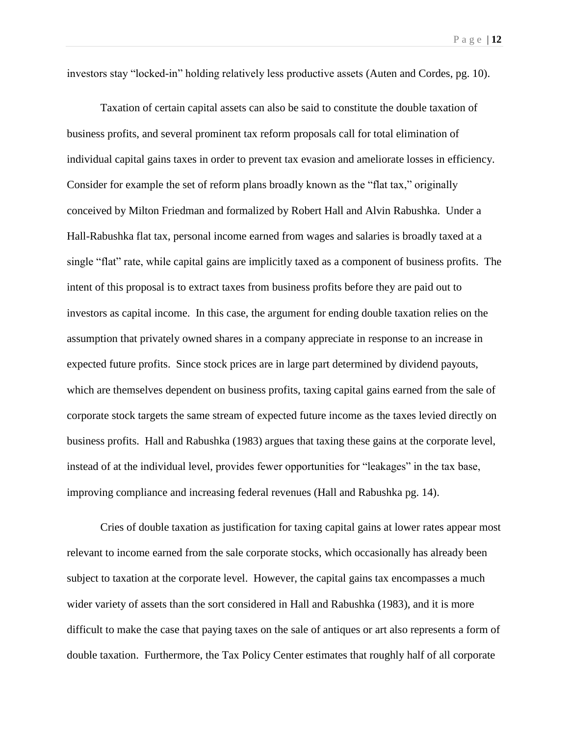investors stay "locked-in" holding relatively less productive assets (Auten and Cordes, pg. 10).

Taxation of certain capital assets can also be said to constitute the double taxation of business profits, and several prominent tax reform proposals call for total elimination of individual capital gains taxes in order to prevent tax evasion and ameliorate losses in efficiency. Consider for example the set of reform plans broadly known as the "flat tax," originally conceived by Milton Friedman and formalized by Robert Hall and Alvin Rabushka. Under a Hall-Rabushka flat tax, personal income earned from wages and salaries is broadly taxed at a single "flat" rate, while capital gains are implicitly taxed as a component of business profits. The intent of this proposal is to extract taxes from business profits before they are paid out to investors as capital income. In this case, the argument for ending double taxation relies on the assumption that privately owned shares in a company appreciate in response to an increase in expected future profits. Since stock prices are in large part determined by dividend payouts, which are themselves dependent on business profits, taxing capital gains earned from the sale of corporate stock targets the same stream of expected future income as the taxes levied directly on business profits. Hall and Rabushka (1983) argues that taxing these gains at the corporate level, instead of at the individual level, provides fewer opportunities for "leakages" in the tax base, improving compliance and increasing federal revenues (Hall and Rabushka pg. 14).

Cries of double taxation as justification for taxing capital gains at lower rates appear most relevant to income earned from the sale corporate stocks, which occasionally has already been subject to taxation at the corporate level. However, the capital gains tax encompasses a much wider variety of assets than the sort considered in Hall and Rabushka (1983), and it is more difficult to make the case that paying taxes on the sale of antiques or art also represents a form of double taxation. Furthermore, the Tax Policy Center estimates that roughly half of all corporate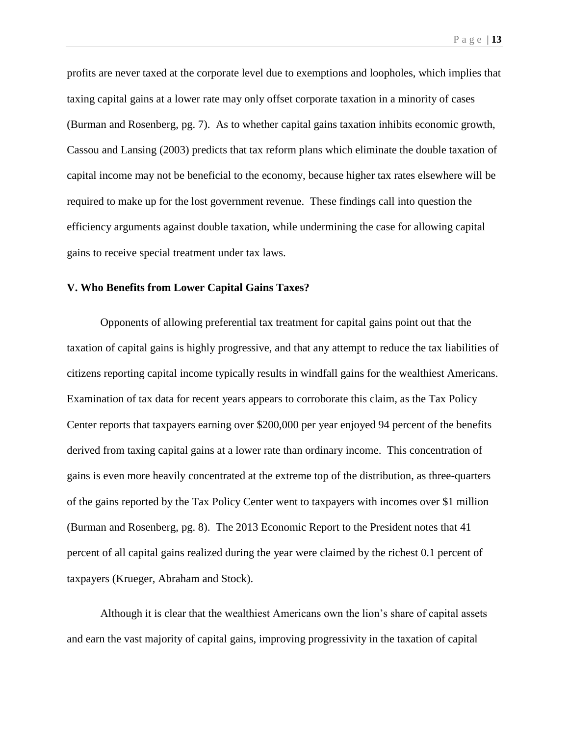profits are never taxed at the corporate level due to exemptions and loopholes, which implies that taxing capital gains at a lower rate may only offset corporate taxation in a minority of cases (Burman and Rosenberg, pg. 7). As to whether capital gains taxation inhibits economic growth, Cassou and Lansing (2003) predicts that tax reform plans which eliminate the double taxation of capital income may not be beneficial to the economy, because higher tax rates elsewhere will be required to make up for the lost government revenue. These findings call into question the efficiency arguments against double taxation, while undermining the case for allowing capital gains to receive special treatment under tax laws.

## **V. Who Benefits from Lower Capital Gains Taxes?**

Opponents of allowing preferential tax treatment for capital gains point out that the taxation of capital gains is highly progressive, and that any attempt to reduce the tax liabilities of citizens reporting capital income typically results in windfall gains for the wealthiest Americans. Examination of tax data for recent years appears to corroborate this claim, as the Tax Policy Center reports that taxpayers earning over \$200,000 per year enjoyed 94 percent of the benefits derived from taxing capital gains at a lower rate than ordinary income. This concentration of gains is even more heavily concentrated at the extreme top of the distribution, as three-quarters of the gains reported by the Tax Policy Center went to taxpayers with incomes over \$1 million (Burman and Rosenberg, pg. 8). The 2013 Economic Report to the President notes that 41 percent of all capital gains realized during the year were claimed by the richest 0.1 percent of taxpayers (Krueger, Abraham and Stock).

Although it is clear that the wealthiest Americans own the lion's share of capital assets and earn the vast majority of capital gains, improving progressivity in the taxation of capital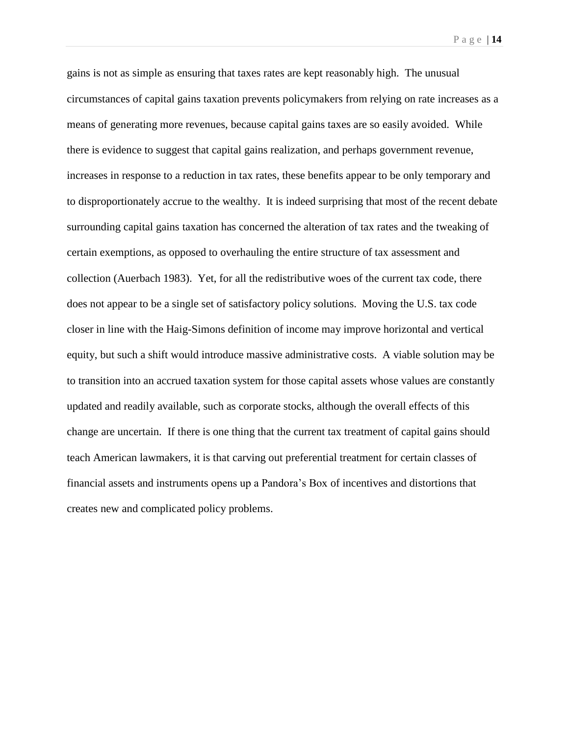gains is not as simple as ensuring that taxes rates are kept reasonably high. The unusual circumstances of capital gains taxation prevents policymakers from relying on rate increases as a means of generating more revenues, because capital gains taxes are so easily avoided. While there is evidence to suggest that capital gains realization, and perhaps government revenue, increases in response to a reduction in tax rates, these benefits appear to be only temporary and to disproportionately accrue to the wealthy. It is indeed surprising that most of the recent debate surrounding capital gains taxation has concerned the alteration of tax rates and the tweaking of certain exemptions, as opposed to overhauling the entire structure of tax assessment and collection (Auerbach 1983). Yet, for all the redistributive woes of the current tax code, there does not appear to be a single set of satisfactory policy solutions. Moving the U.S. tax code closer in line with the Haig-Simons definition of income may improve horizontal and vertical equity, but such a shift would introduce massive administrative costs. A viable solution may be to transition into an accrued taxation system for those capital assets whose values are constantly updated and readily available, such as corporate stocks, although the overall effects of this change are uncertain. If there is one thing that the current tax treatment of capital gains should teach American lawmakers, it is that carving out preferential treatment for certain classes of financial assets and instruments opens up a Pandora's Box of incentives and distortions that creates new and complicated policy problems.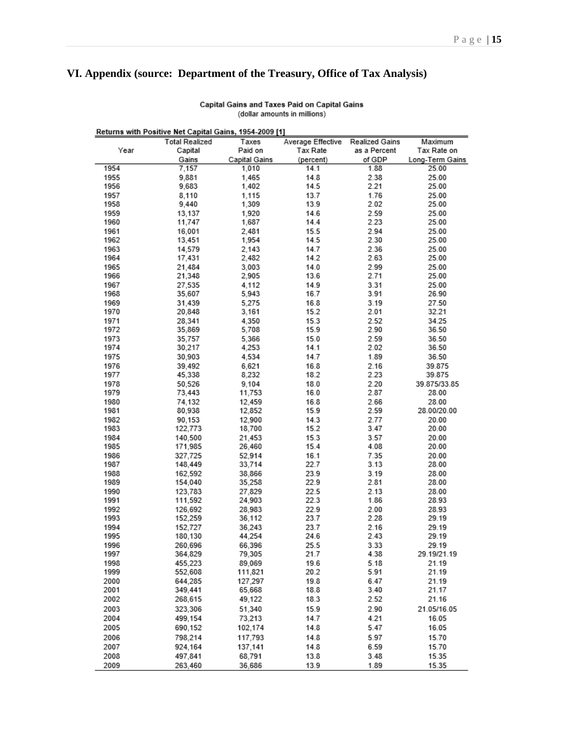## **VI. Appendix (source: Department of the Treasury, Office of Tax Analysis)**

| Returns with Positive Net Capital Gains, 1954-2009 [1] |                       |               |                   |                |                 |
|--------------------------------------------------------|-----------------------|---------------|-------------------|----------------|-----------------|
|                                                        | <b>Total Realized</b> | Taxes         | Average Effective | Realized Gains | Maximum         |
| Year                                                   | Capital               | Paid on       | Tax Rate          | as a Percent   | Tax Rate on     |
|                                                        | Gains                 | Capital Gains | (percent)         | of GDP         | Long-Term Gains |
| 1954                                                   | 7,157                 | 1,010         | 14.1              | 1.88           | 25.00           |
| 1955                                                   | 9,881                 | 1,465         | 14.8              | 2.38           | 25.00           |
| 1956                                                   | 9,683                 | 1,402         | 14.5              | 2.21           | 25.00           |
| 1957                                                   | 8.110                 | 1,115         | 13.7              | 1.76           | 25.00           |
| 1958                                                   | 9,440                 | 1,309         | 13.9              | 2.02           | 25.00           |
| 1959                                                   | 13,137                | 1,920         | 14.6              | 2.59           | 25.00           |
| 1960                                                   | 11,747                | 1,687         | 14.4              | 2.23           | 25.00           |
| 1961                                                   | 16,001                | 2.481         | 15.5              | 2.94           | 25.00           |
| 1962                                                   | 13,451                | 1,954         | 14.5              | 2.30           | 25.00           |
| 1963                                                   | 14,579                | 2,143         | 14.7              | 2.36           | 25.00           |
| 1964                                                   | 17,431                | 2,482         | 14.2              | 2.63           | 25.00           |
| 1965                                                   | 21,484                | 3,003         | 14.0              | 2.99           | 25.00           |
| 1966                                                   | 21,348                | 2,905         | 13.6              | 2.71           | 25.00           |
| 1967                                                   | 27,535                | 4,112         | 14.9              | 3.31           | 25.00           |
| 1968                                                   | 35,607                | 5,943         | 16.7              | 3.91           | 26.90           |
| 1969                                                   | 31,439                | 5.275         | 16.8              | 3.19           | 27.50           |
| 1970                                                   | 20,848                | 3,161         | 15.2              | 2.01           | 32.21           |
| 1971                                                   | 28,341                | 4,350         | 15.3              | 2.52           | 34.25           |
| 1972                                                   | 35,869                | 5,708         | 15.9              | 2.90           | 36.50           |
| 1973                                                   | 35,757                | 5,366         | 15.0              | 2.59           | 36.50           |
| 1974                                                   | 30,217                | 4,253         | 14.1              | 2.02           | 36.50           |
| 1975                                                   | 30,903                | 4,534         | 14.7              | 1.89           | 36.50           |
| 1976                                                   | 39,492                | 6,621         | 16.8              | 2.16           | 39.875          |
| 1977                                                   | 45,338                | 8,232         | 18.2              | 2.23           | 39.875          |
| 1978                                                   | 50,526                | 9,104         | 18.0              | 2.20           | 39.875/33.85    |
| 1979                                                   | 73,443                | 11,753        | 16.0              | 2.87           | 28.00           |
| 1980                                                   | 74,132                | 12,459        | 16.8              | 2.66           | 28.00           |
| 1981                                                   | 80,938                | 12,852        | 15.9              | 2.59           | 28.00/20.00     |
| 1982                                                   | 90,153                | 12,900        | 14.3              | 2.77           | 20.00           |
| 1983                                                   | 122,773               | 18,700        | 15.2              | 3.47           | 20.00           |
| 1984                                                   | 140,500               | 21,453        | 15.3              | 3.57           | 20.00           |
| 1985                                                   | 171,985               | 26,460        | 15.4              | 4.08           | 20.00           |
| 1986                                                   | 327,725               | 52,914        | 16.1              | 7.35           | 20.00           |
| 1987                                                   | 148,449               | 33,714        | 22.7              | 3.13           | 28.00           |
| 1988                                                   | 162,592               | 38,866        | 23.9              | 3.19           | 28.00           |
| 1989                                                   | 154,040               | 35,258        | 22.9              | 2.81           | 28.00           |
| 1990                                                   | 123.783               | 27,829        | 22.5              | 2.13           | 28.00           |
| 1991                                                   | 111,592               | 24,903        | 22.3              | 1.86           | 28.93           |
| 1992                                                   | 126,692               | 28,983        | 22.9              | 2.00           | 28.93           |
| 1993                                                   | 152,259               | 36,112        | 23.7              | 2.28           | 29.19           |
| 1994                                                   | 152,727               | 36,243        | 23.7              | 2.16           | 29.19           |
| 1995                                                   | 180,130               | 44,254        | 24.6              | 2.43           | 29.19           |
| 1996                                                   | 260,696               | 66,396        | 25.5              | 3.33           | 29.19           |
| 1997                                                   | 364,829               | 79,305        | 21.7              | 4.38           | 29.19/21.19     |
| 1998                                                   | 455,223               | 89,069        | 19.6              | 5.18           | 21.19           |
| 1999                                                   | 552,608               | 111,821       | 20.2              | 5.91           | 21.19           |
| 2000                                                   | 644,285               | 127,297       | 19.8              | 6.47           | 21.19           |
| 2001                                                   | 349,441               | 65,668        | 18.8              | 3.40           | 21.17           |
| 2002                                                   | 268,615               | 49,122        | 18.3              | 2.52           | 21.16           |
| 2003                                                   | 323,306               | 51.340        | 15.9              | 2.90           | 21.05/16.05     |
| 2004                                                   | 499,154               | 73,213        | 14.7              | 4.21           | 16.05           |
| 2005                                                   | 690,152               | 102,174       | 14.8              | 5.47           | 16.05           |
| 2006                                                   | 798,214               | 117,793       | 14.8              | 5.97           | 15.70           |
| 2007                                                   | 924,164               | 137,141       | 14.8              | 6.59           | 15.70           |
| 2008                                                   | 497,841               | 68,791        | 13.8              | 3.48           | 15.35           |
| 2009                                                   | 263.460               | 36.686        | 13.9              | 1.89           | 15.35           |

#### Capital Gains and Taxes Paid on Capital Gains (dollar amounts in millions)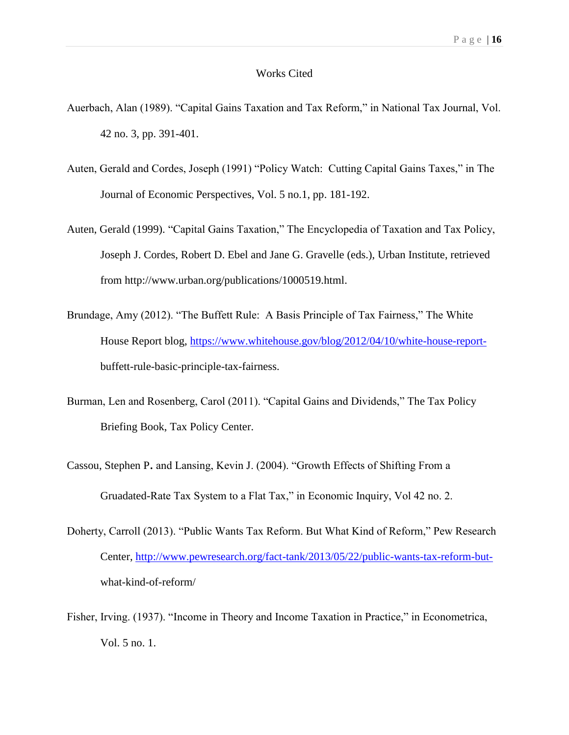#### Works Cited

- Auerbach, Alan (1989). "Capital Gains Taxation and Tax Reform," in National Tax Journal, Vol. 42 no. 3, pp. 391-401.
- Auten, Gerald and Cordes, Joseph (1991) "Policy Watch: Cutting Capital Gains Taxes," in The Journal of Economic Perspectives, Vol. 5 no.1, pp. 181-192.
- Auten, Gerald (1999). "Capital Gains Taxation," The Encyclopedia of Taxation and Tax Policy, Joseph J. Cordes, Robert D. Ebel and Jane G. Gravelle (eds.), Urban Institute, retrieved from http://www.urban.org/publications/1000519.html.
- Brundage, Amy (2012). "The Buffett Rule: A Basis Principle of Tax Fairness," The White House Report blog, [https://www.whitehouse.gov/blog/2012/04/10/white-house-report](https://www.whitehouse.gov/blog/2012/04/10/white-house-report-)buffett-rule-basic-principle-tax-fairness.
- Burman, Len and Rosenberg, Carol (2011). "Capital Gains and Dividends," The Tax Policy Briefing Book, Tax Policy Center.
- Cassou, Stephen P. and Lansing, Kevin J. (2004). "Growth Effects of Shifting From a Gruadated-Rate Tax System to a Flat Tax," in Economic Inquiry, Vol 42 no. 2.
- Doherty, Carroll (2013). "Public Wants Tax Reform. But What Kind of Reform," Pew Research Center, [http://www.pewresearch.org/fact-tank/2013/05/22/public-wants-tax-reform-but](http://www.pewresearch.org/fact-tank/2013/05/22/public-wants-tax-reform-but-)what-kind-of-reform/
- Fisher, Irving. (1937). "Income in Theory and Income Taxation in Practice," in Econometrica, Vol. 5 no. 1.